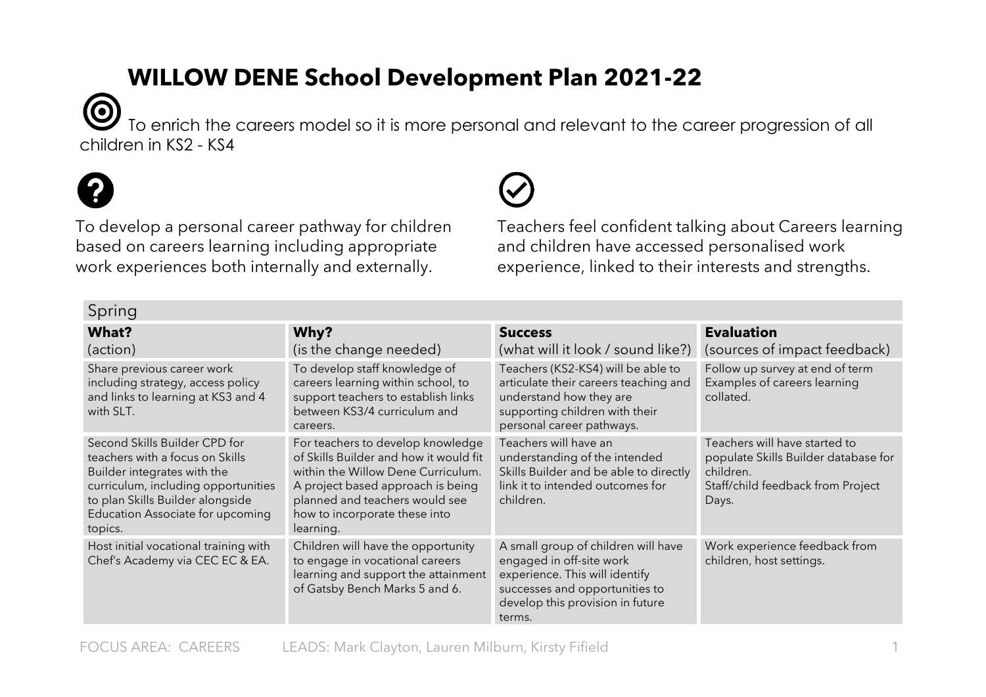## **WILLOW DENE School Development Plan 2021-22**

0 To enrich the careers model so it is more personal and relevant to the career progression of all children in KS2 - KS4



 $S_{\text{min}}$ 

To develop a personal career pathway for children based on careers learning including appropriate work experiences both internally and externally.

Teachers feel confident talking about Careers learning and children have accessed personalised work experience, linked to their interests and strengths.

| әршіч                                                                                                                                                                                                                     |                                                                                                                                                                                                                                        |                                                                                                                                                                                   |                                                                                                                                  |  |  |
|---------------------------------------------------------------------------------------------------------------------------------------------------------------------------------------------------------------------------|----------------------------------------------------------------------------------------------------------------------------------------------------------------------------------------------------------------------------------------|-----------------------------------------------------------------------------------------------------------------------------------------------------------------------------------|----------------------------------------------------------------------------------------------------------------------------------|--|--|
| What?<br>(action)                                                                                                                                                                                                         | Why?<br>(is the change needed)                                                                                                                                                                                                         | <b>Success</b><br>(what will it look / sound like?)                                                                                                                               | <b>Evaluation</b><br>(sources of impact feedback)                                                                                |  |  |
| Share previous career work<br>including strategy, access policy<br>and links to learning at KS3 and 4<br>with SLT.                                                                                                        | To develop staff knowledge of<br>careers learning within school, to<br>support teachers to establish links<br>between KS3/4 curriculum and<br>careers.                                                                                 | Teachers (KS2-KS4) will be able to<br>articulate their careers teaching and<br>understand how they are<br>supporting children with their<br>personal career pathways.             | Follow up survey at end of term<br>Examples of careers learning<br>collated.                                                     |  |  |
| Second Skills Builder CPD for<br>teachers with a focus on Skills<br>Builder integrates with the<br>curriculum, including opportunities<br>to plan Skills Builder alongside<br>Education Associate for upcoming<br>topics. | For teachers to develop knowledge<br>of Skills Builder and how it would fit<br>within the Willow Dene Curriculum.<br>A project based approach is being<br>planned and teachers would see<br>how to incorporate these into<br>learning. | Teachers will have an<br>understanding of the intended<br>Skills Builder and be able to directly<br>link it to intended outcomes for<br>children.                                 | Teachers will have started to<br>populate Skills Builder database for<br>children.<br>Staff/child feedback from Project<br>Days. |  |  |
| Host initial vocational training with<br>Chef's Academy via CEC EC & EA.                                                                                                                                                  | Children will have the opportunity<br>to engage in vocational careers<br>learning and support the attainment<br>of Gatsby Bench Marks 5 and 6.                                                                                         | A small group of children will have<br>engaged in off-site work<br>experience. This will identify<br>successes and opportunities to<br>develop this provision in future<br>terms. | Work experience feedback from<br>children, host settings.                                                                        |  |  |